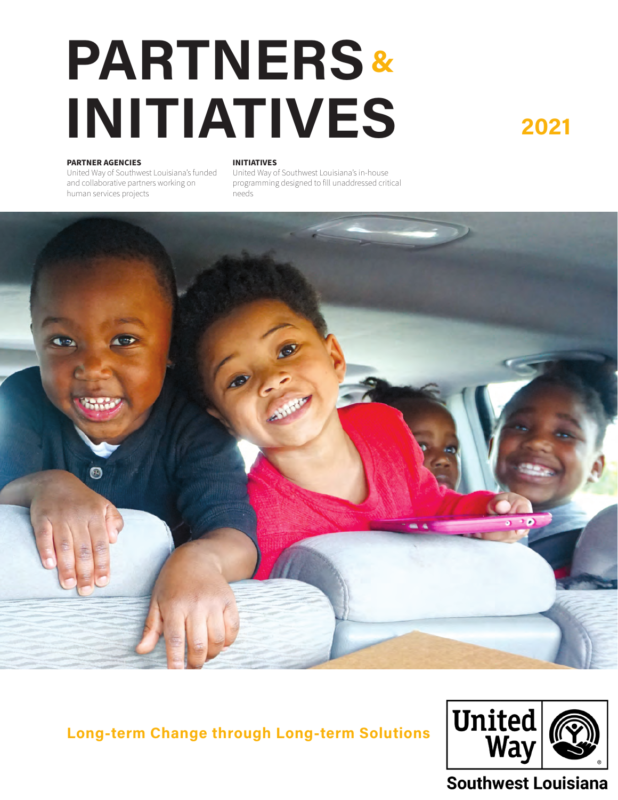### **PARTNERS INITIATIVES <sup>2021</sup> &**

#### **PARTNER AGENCIES**

United Way of Southwest Louisiana's funded and collaborative partners working on human services projects

#### **INITIATIVES**

United Way of Southwest Louisiana's in-house programming designed to fill unaddressed critical needs



**Long-term Change through Long-term Solutions**



#### Southwest Louisiana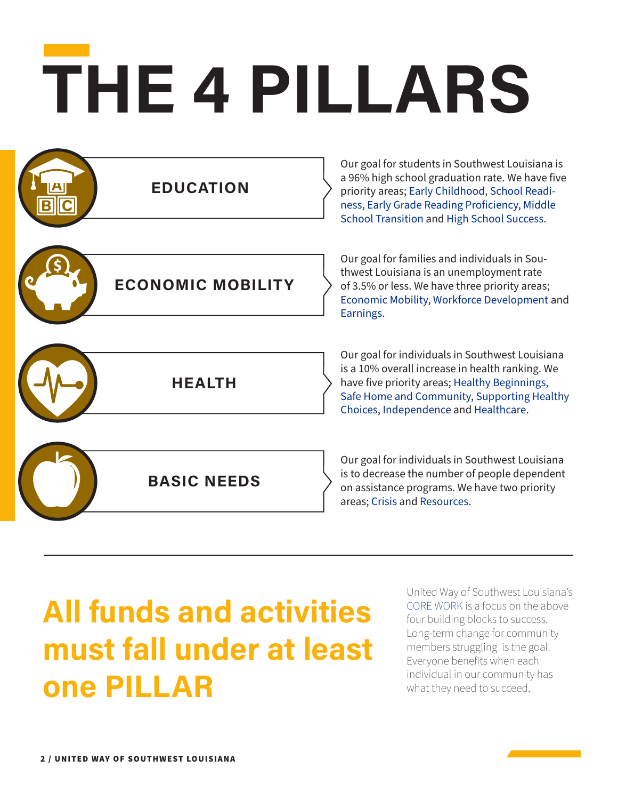# **THE 4 PILLARS**

| <b>EDUCATION</b>         | Our goal for students in Southwest Louisiana is<br>a 96% high school graduation rate. We have five<br>priority areas; Early Childhood, School Readi-<br>ness, Early Grade Reading Proficiency, Middle<br>School Transition and High School Success. |
|--------------------------|-----------------------------------------------------------------------------------------------------------------------------------------------------------------------------------------------------------------------------------------------------|
| <b>ECONOMIC MOBILITY</b> | Our goal for families and individuals in Sou-<br>thwest Louisiana is an unemployment rate<br>of 3.5% or less. We have three priority areas;<br>Economic Mobility, Workforce Development and<br>Earnings.                                            |
| <b>HEALTH</b>            | Our goal for individuals in Southwest Louisiana<br>is a 10% overall increase in health ranking. We<br>have five priority areas; Healthy Beginnings,<br>Safe Home and Community, Supporting Healthy<br>Choices, Independence and Healthcare.         |
| <b>BASIC NEEDS</b>       | Our goal for individuals in Southwest Louisiana<br>is to decrease the number of people dependent<br>on assistance programs. We have two priority<br>areas; Crisis and Resources.                                                                    |

### **All funds and activities must fall under at least one PILLAR**

United Way of Southwest Louisiana's CORE WORK is a focus on the above four building blocks to success. Long-term change for community members struggling is the goal. Everyone benefits when each individual in our community has what they need to succeed.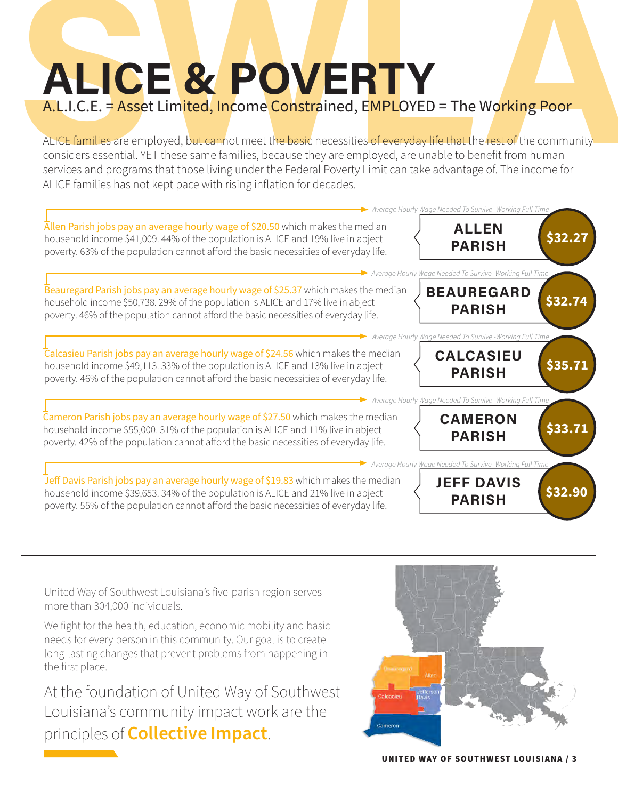# **A.L.I.C.E. = Asset Limited, Income Constrained, EMPLOYED = The Working Poor**<br>ALLICE families are employed, but cannot meet the basic necessities of everyday life that the rest of the community<br>considers essential. YET the **ALICE & POVERTY** A.L.I.C.E. = Asset Limited, Income Constrained, EMPLOYED = The Working Poor

ALICE families are employed, but cannot meet the basic necessities of everyday life that the rest of the community considers essential. YET these same families, because they are employed, are unable to benefit from human services and programs that those living under the Federal Poverty Limit can take advantage of. The income for ALICE families has not kept pace with rising inflation for decades.



United Way of Southwest Louisiana's five-parish region serves more than 304,000 individuals.

We fight for the health, education, economic mobility and basic needs for every person in this community. Our goal is to create long-lasting changes that prevent problems from happening in the first place.

At the foundation of United Way of Southwest Louisiana's community impact work are the principles of **Collective Impact**.

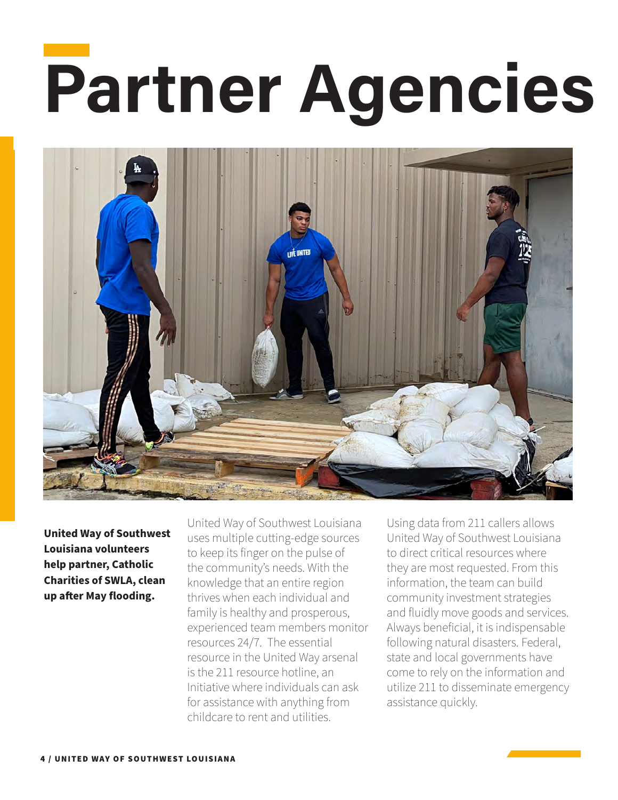# **Partner Agencies**



**United Way of Southwest Louisiana volunteers help partner, Catholic Charities of SWLA, clean up after May flooding.**

United Way of Southwest Louisiana uses multiple cutting-edge sources to keep its finger on the pulse of the community's needs. With the knowledge that an entire region thrives when each individual and family is healthy and prosperous, experienced team members monitor resources 24/7. The essential resource in the United Way arsenal is the 211 resource hotline, an Initiative where individuals can ask for assistance with anything from childcare to rent and utilities.

Using data from 211 callers allows United Way of Southwest Louisiana to direct critical resources where they are most requested. From this information, the team can build community investment strategies and fluidly move goods and services. Always beneficial, it is indispensable following natural disasters. Federal, state and local governments have come to rely on the information and utilize 211 to disseminate emergency assistance quickly.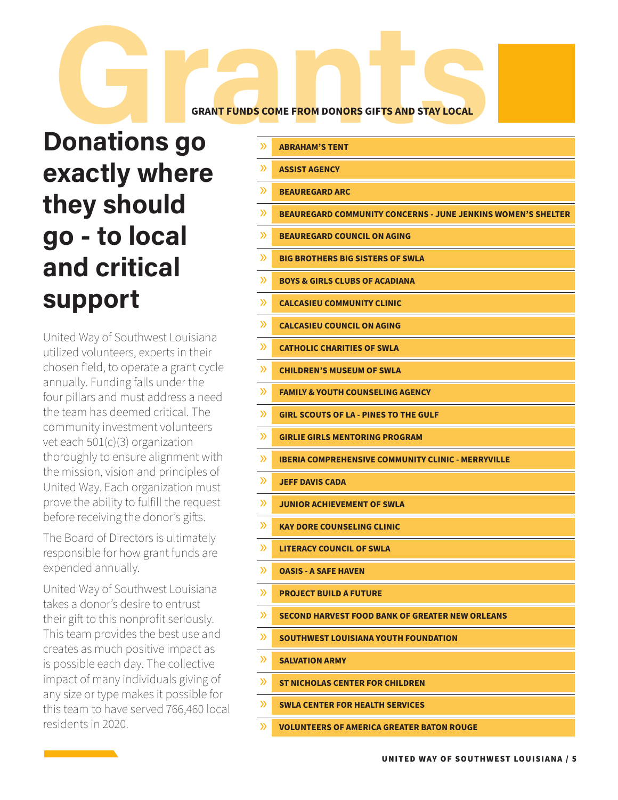#### **GRANT FUNDS COME FROM DONORS GIFTS AND STAY LOCAL**

## **Donations go GRANT FUNDS COME FROM DONORS GIFTS AND STAY LOCAL exactly where they should go - to local and critical support**

United Way of Southwest Louisiana utilized volunteers, experts in their chosen field, to operate a grant cycle annually. Funding falls under the four pillars and must address a need the team has deemed critical. The community investment volunteers vet each 501(c)(3) organization thoroughly to ensure alignment with the mission, vision and principles of United Way. Each organization must prove the ability to fulfill the request before receiving the donor's gifts.

The Board of Directors is ultimately responsible for how grant funds are expended annually.

United Way of Southwest Louisiana takes a donor's desire to entrust their gift to this nonprofit seriously. This team provides the best use and creates as much positive impact as is possible each day. The collective impact of many individuals giving of any size or type makes it possible for this team to have served 766,460 local residents in 2020.

| $\mathcal{P}$ | <b>ABRAHAM'S TENT</b>                                               |
|---------------|---------------------------------------------------------------------|
| $\mathcal{Y}$ | <b>ASSIST AGENCY</b>                                                |
| $\mathcal{P}$ | <b>BEAUREGARD ARC</b>                                               |
| $\mathcal{P}$ | <b>BEAUREGARD COMMUNITY CONCERNS - JUNE JENKINS WOMEN'S SHELTER</b> |
| $\mathcal{P}$ | <b>BEAUREGARD COUNCIL ON AGING</b>                                  |
| $\mathcal{P}$ | <b>BIG BROTHERS BIG SISTERS OF SWLA</b>                             |
| $\mathcal{P}$ | <b>BOYS &amp; GIRLS CLUBS OF ACADIANA</b>                           |
| $\mathcal{P}$ | <b>CALCASIEU COMMUNITY CLINIC</b>                                   |
| $\mathcal{P}$ | <b>CALCASIEU COUNCIL ON AGING</b>                                   |
| $\mathcal{P}$ | <b>CATHOLIC CHARITIES OF SWLA</b>                                   |
| $\mathcal{P}$ | <b>CHILDREN'S MUSEUM OF SWLA</b>                                    |
| $\mathcal{P}$ | <b>FAMILY &amp; YOUTH COUNSELING AGENCY</b>                         |
| $\mathcal{P}$ | <b>GIRL SCOUTS OF LA - PINES TO THE GULF</b>                        |
| $\mathcal{P}$ | <b>GIRLIE GIRLS MENTORING PROGRAM</b>                               |
| $\mathcal{P}$ | <b>IBERIA COMPREHENSIVE COMMUNITY CLINIC - MERRYVILLE</b>           |
| $\mathcal{P}$ | <b>JEFF DAVIS CADA</b>                                              |
| $\mathcal{P}$ | <b>JUNIOR ACHIEVEMENT OF SWLA</b>                                   |
| $\mathcal{P}$ | <b>KAY DORE COUNSELING CLINIC</b>                                   |
| $\mathcal{P}$ | <b>LITERACY COUNCIL OF SWLA</b>                                     |
| $\mathcal{P}$ | <b>OASIS - A SAFE HAVEN</b>                                         |
| $\mathcal{P}$ | <b>PROJECT BUILD A FUTURE</b>                                       |
| $\mathcal{Y}$ | <b>SECOND HARVEST FOOD BANK OF GREATER NEW ORLEANS</b>              |
| $\mathcal{P}$ | SOUTHWEST LOUISIANA YOUTH FOUNDATION                                |
| $\gg$         | <b>SALVATION ARMY</b>                                               |
| $\mathcal{Y}$ | ST NICHOLAS CENTER FOR CHILDREN                                     |
| $\mathcal{P}$ | <b>SWLA CENTER FOR HEALTH SERVICES</b>                              |
| $\gg$         | <b>VOLUNTEERS OF AMERICA GREATER BATON ROUGE</b>                    |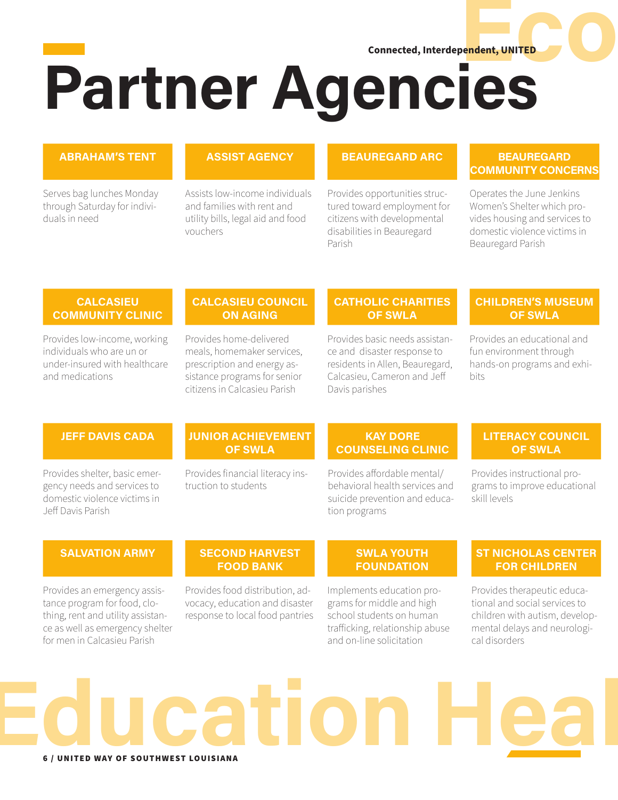**Experiment, UNITED CO. Partner Agencies Connected, Interdependent, UNITED**

#### **ABRAHAM'S TENT**

Serves bag lunches Monday through Saturday for individuals in need

#### **ASSIST AGENCY**

Assists low-income individuals and families with rent and utility bills, legal aid and food vouchers

#### **BEAUREGARD ARC**

Provides opportunities structured toward employment for citizens with developmental disabilities in Beauregard Parish

#### **BEAUREGARD COMMUNITY CONCERNS**

Operates the June Jenkins Women's Shelter which provides housing and services to domestic violence victims in Beauregard Parish

#### **CALCASIEU COMMUNITY CLINIC**

Provides low-income, working individuals who are un or under-insured with healthcare and medications

#### **CALCASIEU COUNCIL ON AGING**

Provides home-delivered meals, homemaker services, prescription and energy assistance programs for senior citizens in Calcasieu Parish

#### **CATHOLIC CHARITIES OF SWLA**

Provides basic needs assistance and disaster response to residents in Allen, Beauregard, Calcasieu, Cameron and Jeff Davis parishes

#### **CHILDREN'S MUSEUM OF SWLA**

Provides an educational and fun environment through hands-on programs and exhibits

#### **JEFF DAVIS CADA**

Provides shelter, basic emergency needs and services to domestic violence victims in Jeff Davis Parish

#### **JUNIOR ACHIEVEMENT OF SWLA**

Provides financial literacy instruction to students

#### **KAY DORE COUNSELING CLINIC**

Provides affordable mental/ behavioral health services and suicide prevention and education programs

#### **LITERACY COUNCIL OF SWLA**

Provides instructional programs to improve educational skill levels

#### **SALVATION ARMY**

Provides an emergency assistance program for food, clothing, rent and utility assistance as well as emergency shelter for men in Calcasieu Parish

#### **SECOND HARVEST FOOD BANK**

Provides food distribution, advocacy, education and disaster response to local food pantries

#### **SWLA YOUTH FOUNDATION**

Implements education programs for middle and high school students on human trafficking, relationship abuse and on-line solicitation

#### **ST NICHOLAS CENTER FOR CHILDREN**

Provides therapeutic educational and social services to children with autism, developmental delays and neurological disorders

### 6 / UNITED WAY OF SOUTHWEST LOUISIANA **Education Health**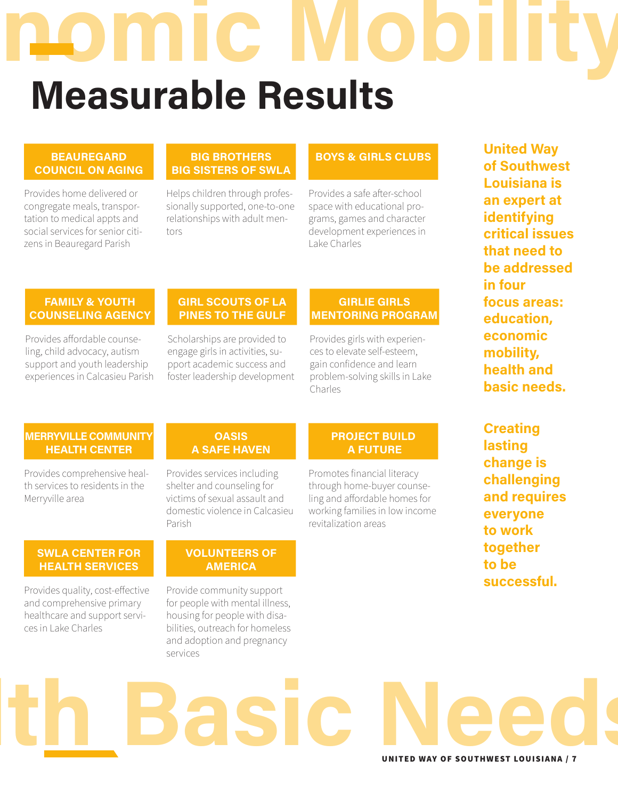# **Economic Mob Measurable Results**

#### **BEAUREGARD COUNCIL ON AGING**

Provides home delivered or congregate meals, transportation to medical appts and social services for senior citizens in Beauregard Parish

#### **BIG BROTHERS BIG SISTERS OF SWLA**

Helps children through professionally supported, one-to-one relationships with adult mentors

#### **BOYS & GIRLS CLUBS**

Provides a safe after-school space with educational programs, games and character development experiences in Lake Charles

#### **FAMILY & YOUTH COUNSELING AGENCY**

Provides affordable counseling, child advocacy, autism support and youth leadership experiences in Calcasieu Parish

#### **GIRL SCOUTS OF LA PINES TO THE GULF**

Scholarships are provided to engage girls in activities, support academic success and foster leadership development

#### **GIRLIE GIRLS MENTORING PROGRAM**

Provides girls with experiences to elevate self-esteem, gain confidence and learn problem-solving skills in Lake Charles

**United Way of Southwest Louisiana is an expert at identifying critical issues that need to be addressed in four focus areas: education, economic mobility, health and basic needs.** 

#### **MERRYVILLE COMMUNITY HEALTH CENTER**

Provides comprehensive health services to residents in the Merryville area

#### **OASIS A SAFE HAVEN**

Provides services including shelter and counseling for victims of sexual assault and domestic violence in Calcasieu Parish

#### **SWLA CENTER FOR HEALTH SERVICES**

**successful.**<br>
Provides quality, cost-effective Provide community support **that is a successful.** and comprehensive primary healthcare and support services in Lake Charles

#### **VOLUNTEERS OF AMERICA**

Provide community support for people with mental illness, housing for people with disabilities, outreach for homeless and adoption and pregnancy services

#### **PROJECT BUILD A FUTURE**

Promotes financial literacy through home-buyer counseling and affordable homes for working families in low income revitalization areas

**Creating lasting change is challenging and requires everyone to work together to be** 

### UNITED WAY OF SOUTHWEST LOUISIANA / 7 **Health Basic Needs**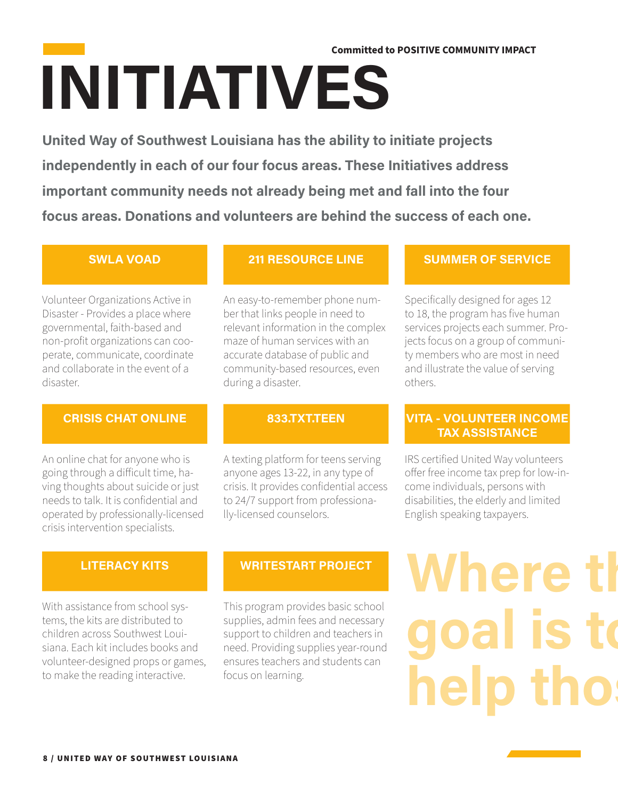## **INITIATIVES Committed to POSITIVE COMMUNITY IMPACT**

**United Way of Southwest Louisiana has the ability to initiate projects independently in each of our four focus areas. These Initiatives address important community needs not already being met and fall into the four focus areas. Donations and volunteers are behind the success of each one.** 

#### **SWLA VOAD**

Volunteer Organizations Active in Disaster - Provides a place where governmental, faith-based and non-profit organizations can cooperate, communicate, coordinate and collaborate in the event of a disaster.

#### **CRISIS CHAT ONLINE**

An online chat for anyone who is going through a difficult time, having thoughts about suicide or just needs to talk. It is confidential and operated by professionally-licensed crisis intervention specialists.

#### **833.TXT.TEEN**

during a disaster.

An easy-to-remember phone number that links people in need to relevant information in the complex maze of human services with an accurate database of public and community-based resources, even

**211 RESOURCE LINE**

A texting platform for teens serving anyone ages 13-22, in any type of crisis. It provides confidential access to 24/7 support from professionally-licensed counselors.

#### **SUMMER OF SERVICE**

Specifically designed for ages 12 to 18, the program has five human services projects each summer. Projects focus on a group of community members who are most in need and illustrate the value of serving others.

#### **VITA - VOLUNTEER INCOME TAX ASSISTANCE**

IRS certified United Way volunteers offer free income tax prep for low-income individuals, persons with disabilities, the elderly and limited English speaking taxpayers.

#### **LITERACY KITS**

With assistance from school systems, the kits are distributed to children across Southwest Louisiana. Each kit includes books and volunteer-designed props or games, to make the reading interactive.

#### **WRITESTART PROJECT**

This program provides basic school supplies, admin fees and necessary support to children and teachers in need. Providing supplies year-round ensures teachers and students can focus on learning.

# **Where the** goal is to help thos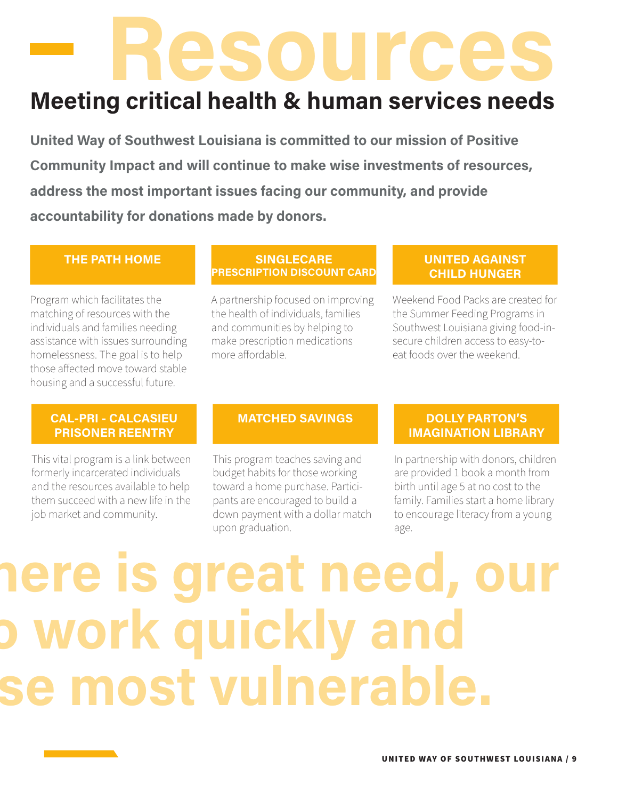# **Resources**

### **Meeting critical health & human services needs**

**United Way of Southwest Louisiana is committed to our mission of Positive Community Impact and will continue to make wise investments of resources, address the most important issues facing our community, and provide accountability for donations made by donors.** 

#### **THE PATH HOME**

Program which facilitates the matching of resources with the individuals and families needing assistance with issues surrounding homelessness. The goal is to help those affected move toward stable housing and a successful future.

#### **SINGLECARE PRESCRIPTION DISCOUNT CARD**

A partnership focused on improving the health of individuals, families and communities by helping to make prescription medications more affordable.

#### **UNITED AGAINST CHILD HUNGER**

Weekend Food Packs are created for the Summer Feeding Programs in Southwest Louisiana giving food-insecure children access to easy-toeat foods over the weekend.

#### **CAL-PRI - CALCASIEU PRISONER REENTRY**

This vital program is a link between formerly incarcerated individuals and the resources available to help them succeed with a new life in the job market and community.

#### **MATCHED SAVINGS**

This program teaches saving and budget habits for those working toward a home purchase. Participants are encouraged to build a down payment with a dollar match upon graduation.

#### **DOLLY PARTON'S IMAGINATION LIBRARY**

In partnership with donors, children are provided 1 book a month from birth until age 5 at no cost to the family. Families start a home library to encourage literacy from a young age.

## **Where there is great need, our**  work quickly and **help those most vulnerable.**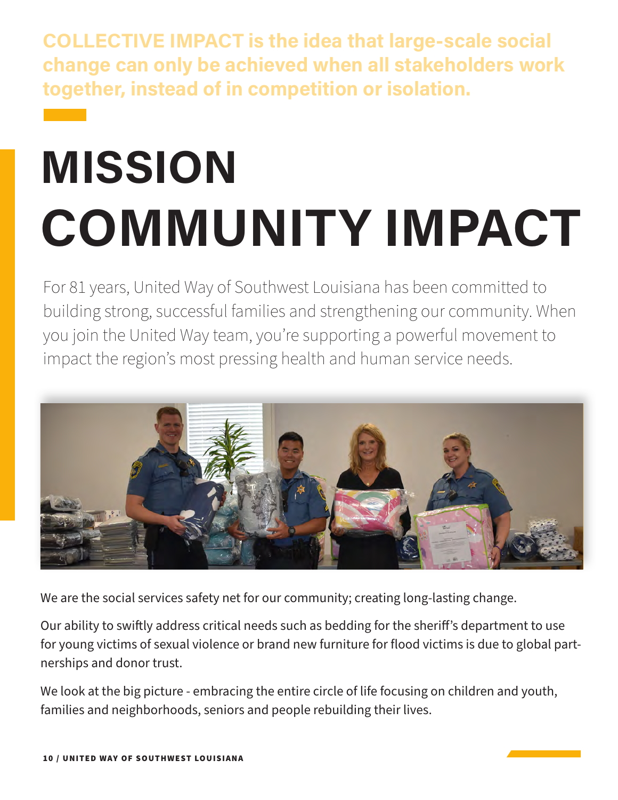**COLLECTIVE IMPACT is the idea that large-scale social change can only be achieved when all stakeholders work together, instead of in competition or isolation.** 

# **MISSION COMMUNITY IMPACT**

For 81 years, United Way of Southwest Louisiana has been committed to building strong, successful families and strengthening our community. When you join the United Way team, you're supporting a powerful movement to impact the region's most pressing health and human service needs.



We are the social services safety net for our community; creating long-lasting change.

Our ability to swiftly address critical needs such as bedding for the sheriff's department to use for young victims of sexual violence or brand new furniture for flood victims is due to global partnerships and donor trust.

We look at the big picture - embracing the entire circle of life focusing on children and youth, families and neighborhoods, seniors and people rebuilding their lives.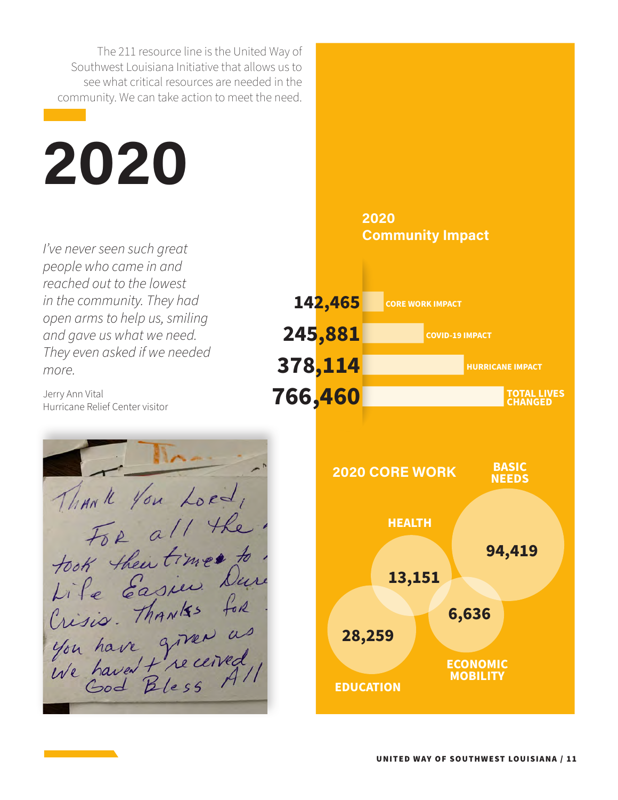The 211 resource line is the United Way of Southwest Louisiana Initiative that allows us to see what critical resources are needed in the community. We can take action to meet the need.

# **2020**

*I've never seen such great people who came in and reached out to the lowest in the community. They had open arms to help us, smiling and gave us what we need. They even asked if we needed more.*

Jerry Ann Vital Hurricane Relief Center visitor

Thank You Lord, For all the For all times to.<br>Life Easier Dure<br>Crisis. Thanks for



#### **2020 Community Impact**

**CORE WORK IMPACT**

**142,465**

**245,881**

**378,114**

**COVID-19 IMPACT**

**HURRICANE IMPACT**